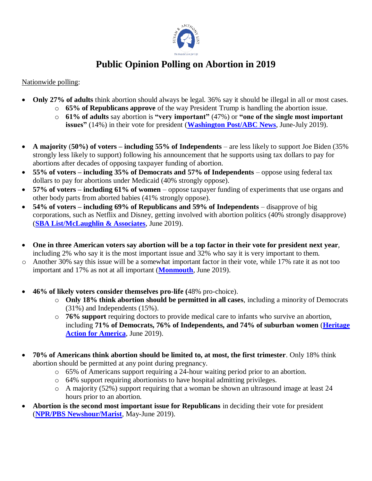

## **Public Opinion Polling on Abortion in 2019**

## Nationwide polling:

- **Only 27% of adults** think abortion should always be legal. 36% say it should be illegal in all or most cases.
	- o **65% of Republicans approve** of the way President Trump is handling the abortion issue.
	- o **61% of adults** say abortion is **"very important"** (47%) or **"one of the single most important** 
		- **issues"** (14%) in their vote for president (**[Washington Post/ABC News](https://www.washingtonpost.com/page/2010-2019/WashingtonPost/2019/07/10/National-Politics/Polling/release_552.xml)**, June-July 2019).
- **A majority** (**50%) of voters – including 55% of Independents**  are less likely to support Joe Biden (35% strongly less likely to support) following his announcement that he supports using tax dollars to pay for abortions after decades of opposing taxpayer funding of abortion.
- **55% of voters – including 35% of Democrats and 57% of Independents** oppose using federal tax dollars to pay for abortions under Medicaid (40% strongly oppose).
- **57% of voters – including 61% of women** oppose taxpayer funding of experiments that use organs and other body parts from aborted babies (41% strongly oppose).
- **54% of voters – including 69% of Republicans and 59% of Independents** disapprove of big corporations, such as Netflix and Disney, getting involved with abortion politics (40% strongly disapprove) (**[SBA List/McLaughlin & Associates](https://www.sba-list.org/newsroom/press-releases/poll-majority-voters-turned-off-biden-flip-flop-taxpayer-funded-abortions)**, June 2019).
- **One in three American voters say abortion will be a top factor in their vote for president next year**, including 2% who say it is the most important issue and 32% who say it is very important to them.
- o Another 30% say this issue will be a somewhat important factor in their vote, while 17% rate it as not too important and 17% as not at all important (**[Monmouth](https://www.monmouth.edu/polling-institute/reports/monmouthpoll_us_062519/)**, June 2019).
- **46% of likely voters consider themselves pro-life (**48% pro-choice).
	- o **Only 18% think abortion should be permitted in all cases**, including a minority of Democrats (31%) and Independents (15%).
	- o **76% support** requiring doctors to provide medical care to infants who survive an abortion, including **71% of Democrats, 76% of Independents, and 74% of suburban women** (**[Heritage](https://s3.amazonaws.com/hafa/Heritage-Action-2020-Polling-Surveys.pdf)**  [Action for America](https://s3.amazonaws.com/hafa/Heritage-Action-2020-Polling-Surveys.pdf), June 2019).
- **70% of Americans think abortion should be limited to, at most, the first trimester**. Only 18% think abortion should be permitted at any point during pregnancy.
	- o 65% of Americans support requiring a 24-hour waiting period prior to an abortion.
	- o 64% support requiring abortionists to have hospital admitting privileges.
	- o A majority (52%) support requiring that a woman be shown an ultrasound image at least 24 hours prior to an abortion.
- **Abortion is the second most important issue for Republicans** in deciding their vote for president (**[NPR/PBS Newshour/Marist](http://maristpoll.marist.edu/wp-content/uploads/2019/06/NPR_PBS-NewsHour_Marist-Poll_USA-NOS-and-Tables-on-Abortion_1906051428_FINAL.pdf#page=3)**, May-June 2019).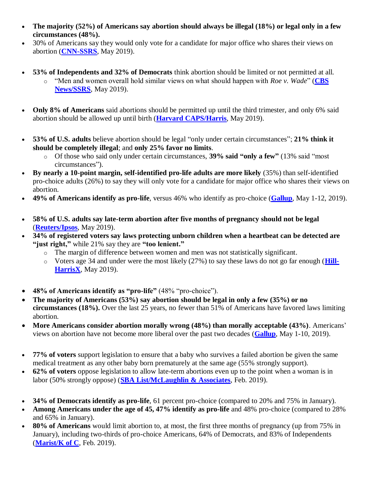- **The majority (52%) of Americans say abortion should always be illegal (18%) or legal only in a few circumstances (48%).**
- 30% of Americans say they would only vote for a candidate for major office who shares their views on abortion (**[CNN-SSRS](http://cdn.cnn.com/cnn/2019/images/06/05/rel7d.-.abortion.pdf)**, May 2019).
- **53% of Independents and 32% of Democrats** think abortion should be limited or not permitted at all.
	- o "Men and women overall hold similar views on what should happen with *Roe v. Wade*" (**[CBS](https://www.cbsnews.com/news/majority-of-americans-dont-want-roe-v-wade-overturned-cbs-news-poll-finds/)  [News/SSRS](https://www.cbsnews.com/news/majority-of-americans-dont-want-roe-v-wade-overturned-cbs-news-poll-finds/)**, May 2019).
- **Only 8% of Americans** said abortions should be permitted up until the third trimester, and only 6% said abortion should be allowed up until birth (**[Harvard CAPS/Harris](https://thehill.com/policy/healthcare/446367-poll-nearly-half-of-americans-say-supreme-court-should-uphold-roe-v-wade)**, May 2019).
- **53% of U.S. adults** believe abortion should be legal "only under certain circumstances"; **21% think it should be completely illegal**; and **only 25% favor no limits**.
	- o Of those who said only under certain circumstances, **39% said "only a few"** (13% said "most circumstances").
- **By nearly a 10-point margin, self-identified pro-life adults are more likely** (35%) than self-identified pro-choice adults (26%) to say they will only vote for a candidate for major office who shares their views on abortion.
- **49% of Americans identify as pro-life**, versus 46% who identify as pro-choice (**[Gallup](https://news.gallup.com/poll/259061/majority-abortion-legal-limits.aspx)**, May 1-12, 2019).
- **58% of U.S. adults say late-term abortion after five months of pregnancy should not be legal** (**[Reuters/Ipsos](https://www.reuters.com/article/us-usa-abortion-poll/support-for-abortion-rights-grows-as-some-us-states-curb-access-reuters-ipsos-poll-idUSKCN1SW0CD)**, May 2019).
- **34% of registered voters say laws protecting unborn children when a heartbeat can be detected are "just right,"** while 21% say they are **"too lenient."**
	- o The margin of difference between women and men was not statistically significant.
	- o Voters age 34 and under were the most likely (27%) to say these laws do not go far enough (**[Hill-](https://thehill.com/hilltv/what-americas-thinking/443879-poll-majority-of-voters-think-6-week-abortion-bans-arent-too)[HarrisX](https://thehill.com/hilltv/what-americas-thinking/443879-poll-majority-of-voters-think-6-week-abortion-bans-arent-too)**, May 2019).
- **48% of Americans identify as "pro-life"** (48% "pro-choice").
- **The majority of Americans (53%) say abortion should be legal in only a few (35%) or no circumstances (18%).** Over the last 25 years, no fewer than 51% of Americans have favored laws limiting abortion.
- **More Americans consider abortion morally wrong (48%) than morally acceptable (43%)**. Americans' views on abortion have not become more liberal over the past two decades (**[Gallup](https://news.gallup.com/poll/235445/abortion-attitudes-remain-closely-divided.aspx?g_source=link_NEWSV9&g_medium=TOPIC&g_campaign=item_&g_content=U.S.%2520Abortion%2520Attitudes%2520Remain%2520Closely%2520Divided)**, May 1-10, 2019).
- **77% of voters** support legislation to ensure that a baby who survives a failed abortion be given the same medical treatment as any other baby born prematurely at the same age (55% strongly support).
- **62% of voters** oppose legislation to allow late-term abortions even up to the point when a woman is in labor (50% strongly oppose) (**[SBA List/McLaughlin & Associates](https://www.sba-list.org/newsroom/press-releases/poll-77-percent-voters-want-congress-protect-babies-born-alive)**, Feb. 2019).
- **34% of Democrats identify as pro-life**, 61 percent pro-choice (compared to 20% and 75% in January).
- **Among Americans under the age of 45, 47% identify as pro-life** and 48% pro-choice (compared to 28% and 65% in January).
- **80% of Americans** would limit abortion to, at most, the first three months of pregnancy (up from 75% in January), including two-thirds of pro-choice Americans, 64% of Democrats, and 83% of Independents (**[Marist/K of C](http://kofc.org/un/en/news/polls.html)**, Feb. 2019).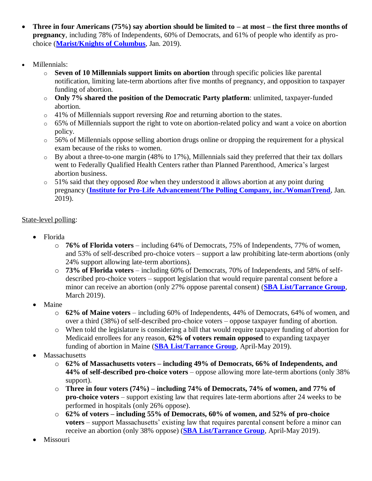- **Three in four Americans (75%) say abortion should be limited to – at most – the first three months of pregnancy**, including 78% of Independents, 60% of Democrats, and 61% of people who identify as prochoice (**[Marist/Knights of Columbus](http://www.kofc.org/en/news/polls/abortion-restrictions-supported.html?fbclid=IwAR1fy9ydeT57ogT1NIvphUaN_wj7dRQawrbLCOs9Fw16LczA62TbD2UiPfg)**, Jan. 2019).
- Millennials:
	- o **Seven of 10 Millennials support limits on abortion** through specific policies like parental notification, limiting late-term abortions after five months of pregnancy, and opposition to taxpayer funding of abortion.
	- o **Only 7% shared the position of the Democratic Party platform**: unlimited, taxpayer-funded abortion.
	- o 41% of Millennials support reversing *Roe* and returning abortion to the states.
	- o 65% of Millennials support the right to vote on abortion-related policy and want a voice on abortion policy.
	- o 56% of Millennials oppose selling abortion drugs online or dropping the requirement for a physical exam because of the risks to women.
	- o By about a three-to-one margin (48% to 17%), Millennials said they preferred that their tax dollars went to Federally Qualified Health Centers rather than Planned Parenthood, America's largest abortion business.
	- o 51% said that they opposed *Roe* when they understood it allows abortion at any point during pregnancy (**[Institute for Pro-Life Advancement/The Polling Company, inc./WomanTrend](https://www.instituteforprolifeadvancement.com/2019-white-paper)**, Jan. 2019).

## State-level polling:

- Florida
	- o **76% of Florida voters** including 64% of Democrats, 75% of Independents, 77% of women, and 53% of self-described pro-choice voters – support a law prohibiting late-term abortions (only 24% support allowing late-term abortions).
	- o **73% of Florida voters** including 60% of Democrats, 70% of Independents, and 58% of selfdescribed pro-choice voters – support legislation that would require parental consent before a minor can receive an abortion (only 27% oppose parental consent) (**[SBA List/Tarrance Group](https://www.sba-list.org/newsroom/press-releases/poll-3-in-4-florida-voters-back-abortion-limits)**, March 2019).
- Maine
	- o **62% of Maine voters** including 60% of Independents, 44% of Democrats, 64% of women, and over a third (38%) of self-described pro-choice voters – oppose taxpayer funding of abortion.
	- o When told the legislature is considering a bill that would require taxpayer funding of abortion for Medicaid enrollees for any reason, **62% of voters remain opposed** to expanding taxpayer funding of abortion in Maine (**[SBA List/Tarrance Group](https://www.sba-list.org/newsroom/press-releases/poll-62-maine-voters-oppose-taxpayer-funded-abortion)**, April-May 2019).
- **Massachusetts** 
	- o **62% of Massachusetts voters – including 49% of Democrats, 66% of Independents, and 44% of self-described pro-choice voters** – oppose allowing more late-term abortions (only 38% support).
	- o **Three in four voters (74%) – including 74% of Democrats, 74% of women, and 77% of pro-choice voters** – support existing law that requires late-term abortions after 24 weeks to be performed in hospitals (only 26% oppose).
	- o **62% of voters – including 55% of Democrats, 60% of women, and 52% of pro-choice voters** – support Massachusetts' existing law that requires parental consent before a minor can receive an abortion (only 38% oppose) (**[SBA List/Tarrance Group](https://www.sba-list.org/newsroom/press-releases/media-advisory-poll-mass-voters-oppose-extreme-abortion-expansion-back-existing-laws)**, April-May 2019).
- Missouri